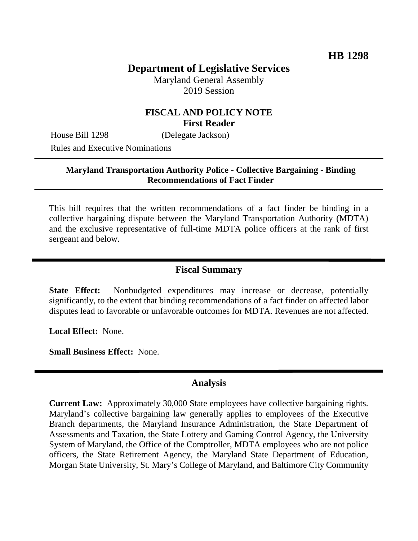# **Department of Legislative Services**

Maryland General Assembly 2019 Session

### **FISCAL AND POLICY NOTE First Reader**

House Bill 1298 (Delegate Jackson)

Rules and Executive Nominations

#### **Maryland Transportation Authority Police - Collective Bargaining - Binding Recommendations of Fact Finder**

This bill requires that the written recommendations of a fact finder be binding in a collective bargaining dispute between the Maryland Transportation Authority (MDTA) and the exclusive representative of full-time MDTA police officers at the rank of first sergeant and below.

## **Fiscal Summary**

**State Effect:** Nonbudgeted expenditures may increase or decrease, potentially significantly, to the extent that binding recommendations of a fact finder on affected labor disputes lead to favorable or unfavorable outcomes for MDTA. Revenues are not affected.

**Local Effect:** None.

**Small Business Effect:** None.

#### **Analysis**

**Current Law:** Approximately 30,000 State employees have collective bargaining rights. Maryland's collective bargaining law generally applies to employees of the Executive Branch departments, the Maryland Insurance Administration, the State Department of Assessments and Taxation, the State Lottery and Gaming Control Agency, the University System of Maryland, the Office of the Comptroller, MDTA employees who are not police officers, the State Retirement Agency, the Maryland State Department of Education, Morgan State University, St. Mary's College of Maryland, and Baltimore City Community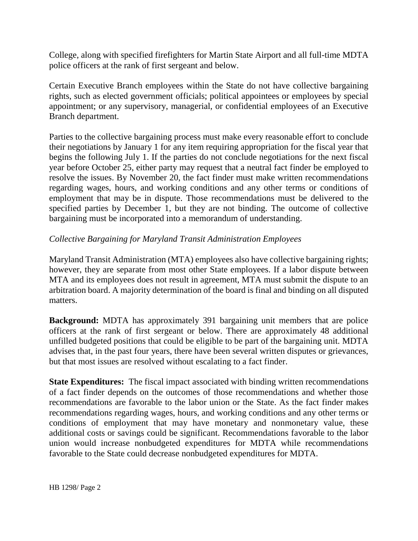College, along with specified firefighters for Martin State Airport and all full-time MDTA police officers at the rank of first sergeant and below.

Certain Executive Branch employees within the State do not have collective bargaining rights, such as elected government officials; political appointees or employees by special appointment; or any supervisory, managerial, or confidential employees of an Executive Branch department.

Parties to the collective bargaining process must make every reasonable effort to conclude their negotiations by January 1 for any item requiring appropriation for the fiscal year that begins the following July 1. If the parties do not conclude negotiations for the next fiscal year before October 25, either party may request that a neutral fact finder be employed to resolve the issues. By November 20, the fact finder must make written recommendations regarding wages, hours, and working conditions and any other terms or conditions of employment that may be in dispute. Those recommendations must be delivered to the specified parties by December 1, but they are not binding. The outcome of collective bargaining must be incorporated into a memorandum of understanding.

### *Collective Bargaining for Maryland Transit Administration Employees*

Maryland Transit Administration (MTA) employees also have collective bargaining rights; however, they are separate from most other State employees. If a labor dispute between MTA and its employees does not result in agreement, MTA must submit the dispute to an arbitration board. A majority determination of the board is final and binding on all disputed matters.

**Background:** MDTA has approximately 391 bargaining unit members that are police officers at the rank of first sergeant or below. There are approximately 48 additional unfilled budgeted positions that could be eligible to be part of the bargaining unit. MDTA advises that, in the past four years, there have been several written disputes or grievances, but that most issues are resolved without escalating to a fact finder.

**State Expenditures:** The fiscal impact associated with binding written recommendations of a fact finder depends on the outcomes of those recommendations and whether those recommendations are favorable to the labor union or the State. As the fact finder makes recommendations regarding wages, hours, and working conditions and any other terms or conditions of employment that may have monetary and nonmonetary value, these additional costs or savings could be significant. Recommendations favorable to the labor union would increase nonbudgeted expenditures for MDTA while recommendations favorable to the State could decrease nonbudgeted expenditures for MDTA.